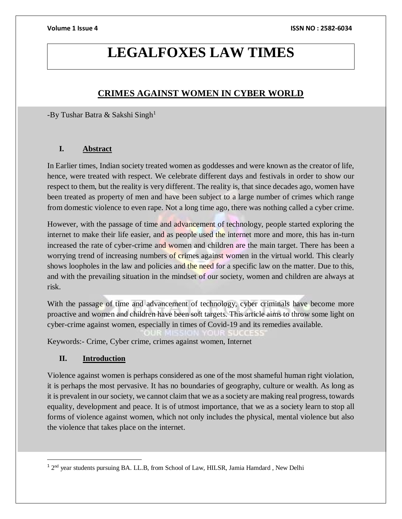# **LEGALFOXES LAW TIMES**

# **CRIMES AGAINST WOMEN IN CYBER WORLD**

-By Tushar Batra & Sakshi Singh<sup>1</sup>

# **I. Abstract**

In Earlier times, Indian society treated women as goddesses and were known as the creator of life, hence, were treated with respect. We celebrate different days and festivals in order to show our respect to them, but the reality is very different. The reality is, that since decades ago, women have been treated as property of men and have been subject to a large number of crimes which range from domestic violence to even rape. Not a long time ago, there was nothing called a cyber crime.

However, with the passage of time and advancement of technology, people started exploring the internet to make their life easier, and as people used the internet more and more, this has in-turn increased the rate of cyber-crime and women and children are the main target. There has been a worrying trend of increasing numbers of crimes against women in the virtual world. This clearly shows loopholes in the law and policies and the need for a specific law on the matter. Due to this, and with the prevailing situation in the mindset of our society, women and children are always at risk.

With the passage of time and advancement of technology, cyber criminals have become more proactive and women and children have been soft targets. This article aims to throw some light on cyber-crime against women, especially in times of Covid-19 and its remedies available.

Keywords:- Crime, Cyber crime, crimes against women, Internet

# **II. Introduction**

 $\overline{a}$ 

Violence against women is perhaps considered as one of the most shameful human right violation, it is perhaps the most pervasive. It has no boundaries of geography, culture or wealth. As long as it is prevalent in our society, we cannot claim that we as a society are making real progress, towards equality, development and peace. It is of utmost importance, that we as a society learn to stop all forms of violence against women, which not only includes the physical, mental violence but also the violence that takes place on the internet.

<sup>&</sup>lt;sup>1</sup> 2<sup>nd</sup> year students pursuing BA. LL.B, from School of Law, HILSR, Jamia Hamdard, New Delhi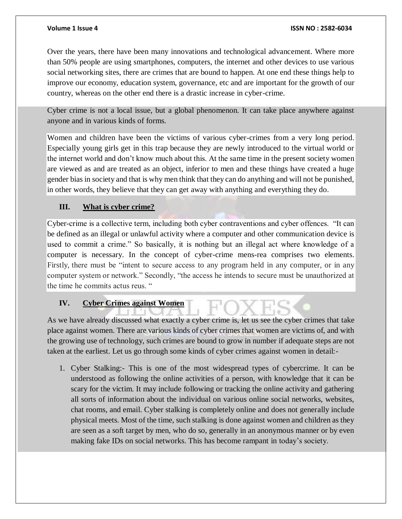Over the years, there have been many innovations and technological advancement. Where more than 50% people are using smartphones, computers, the internet and other devices to use various social networking sites, there are crimes that are bound to happen. At one end these things help to improve our economy, education system, governance, etc and are important for the growth of our country, whereas on the other end there is a drastic increase in cyber-crime.

Cyber crime is not a local issue, but a global phenomenon. It can take place anywhere against anyone and in various kinds of forms.

Women and children have been the victims of various cyber-crimes from a very long period. Especially young girls get in this trap because they are newly introduced to the virtual world or the internet world and don't know much about this. At the same time in the present society women are viewed as and are treated as an object, inferior to men and these things have created a huge gender bias in society and that is why men think that they can do anything and will not be punished, in other words, they believe that they can get away with anything and everything they do.

# **III. What is cyber crime?**

Cyber-crime is a collective term, including both cyber contraventions and cyber offences. "It can be defined as an illegal or unlawful activity where a computer and other communication device is used to commit a crime." So basically, it is nothing but an illegal act where knowledge of a computer is necessary. In the concept of cyber-crime mens-rea comprises two elements. Firstly, there must be "intent to secure access to any program held in any computer, or in any computer system or network." Secondly, "the access he intends to secure must be unauthorized at the time he commits actus reus. "

### **IV. Cyber Crimes against Women**

As we have already discussed what exactly a cyber crime is, let us see the cyber crimes that take place against women. There are various kinds of cyber crimes that women are victims of, and with the growing use of technology, such crimes are bound to grow in number if adequate steps are not taken at the earliest. Let us go through some kinds of cyber crimes against women in detail:-

1. Cyber Stalking:- This is one of the most widespread types of cybercrime. It can be understood as following the online activities of a person, with knowledge that it can be scary for the victim. It may include following or tracking the online activity and gathering all sorts of information about the individual on various online social networks, websites, chat rooms, and email. Cyber stalking is completely online and does not generally include physical meets. Most of the time, such stalking is done against women and children as they are seen as a soft target by men, who do so, generally in an anonymous manner or by even making fake IDs on social networks. This has become rampant in today's society.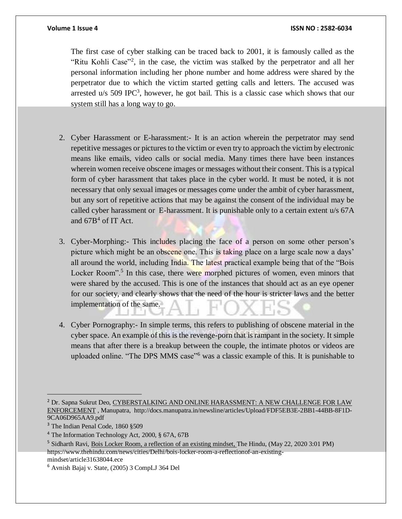### **Volume 1 Issue 4 ISSN NO : 2582-6034**

The first case of cyber stalking can be traced back to 2001, it is famously called as the "Ritu Kohli Case"<sup>2</sup>, in the case, the victim was stalked by the perpetrator and all her personal information including her phone number and home address were shared by the perpetrator due to which the victim started getting calls and letters. The accused was arrested  $u/s$  509 IPC<sup>3</sup>, however, he got bail. This is a classic case which shows that our system still has a long way to go.

- 2. Cyber Harassment or E-harassment:- It is an action wherein the perpetrator may send repetitive messages or pictures to the victim or even try to approach the victim by electronic means like emails, video calls or social media. Many times there have been instances wherein women receive obscene images or messages without their consent. This is a typical form of cyber harassment that takes place in the cyber world. It must be noted, it is not necessary that only sexual images or messages come under the ambit of cyber harassment, but any sort of repetitive actions that may be against the consent of the individual may be called cyber harassment or E-harassment. It is punishable only to a certain extent u/s 67A and  $67B<sup>4</sup>$  of IT Act.
- 3. Cyber-Morphing:- This includes placing the face of a person on some other person's picture which might be an obscene one. This is taking place on a large scale now a days' all around the world, including India. The latest practical example being that of the "Bois" Locker Room".<sup>5</sup> In this case, there were morphed pictures of women, even minors that were shared by the accused. This is one of the instances that should act as an eye opener for our society, and clearly shows that the need of the hour is stricter laws and the better implementation of the same.
- 4. Cyber Pornography:- In simple terms, this refers to publishing of obscene material in the cyber space. An example of this is the revenge-porn that is rampant in the society. It simple means that after there is a breakup between the couple, the intimate photos or videos are uploaded online. "The DPS MMS case"<sup>6</sup> was a classic example of this. It is punishable to

 $\overline{a}$ 

<sup>2</sup> Dr. Sapna Sukrut Deo, CYBERSTALKING AND ONLINE HARASSMENT: A NEW CHALLENGE FOR LAW ENFORCEMENT , Manupatra, [http://docs.manupatra.in/newsline/articles/Upload/FDF5EB3E-2BB1-44BB-8F1D-](http://docs.manupatra.in/newsline/articles/Upload/FDF5EB3E-2BB1-44BB-8F1D-9CA06D965AA9.pdf)[9CA06D965AA9.pdf](http://docs.manupatra.in/newsline/articles/Upload/FDF5EB3E-2BB1-44BB-8F1D-9CA06D965AA9.pdf)

<sup>&</sup>lt;sup>3</sup> The Indian Penal Code, 1860 §509

<sup>4</sup> The Information Technology Act, 2000, § 67A, 67B

<sup>&</sup>lt;sup>5</sup> Sidharth Ravi, Bois Locker Room, a reflection of an existing mindset, The Hindu, (May 22, 2020 3:01 PM) [https://www.thehindu.com/news/cities/Delhi/bois-locker-room-a-reflectionof-an-existing](https://www.thehindu.com/news/cities/Delhi/bois-locker-room-a-reflectionof-an-existing-mindset/article31638044.ece)[mindset/article31638044.ece](https://www.thehindu.com/news/cities/Delhi/bois-locker-room-a-reflectionof-an-existing-mindset/article31638044.ece)

<sup>6</sup> Avnish Bajaj v. State, (2005) 3 CompLJ 364 Del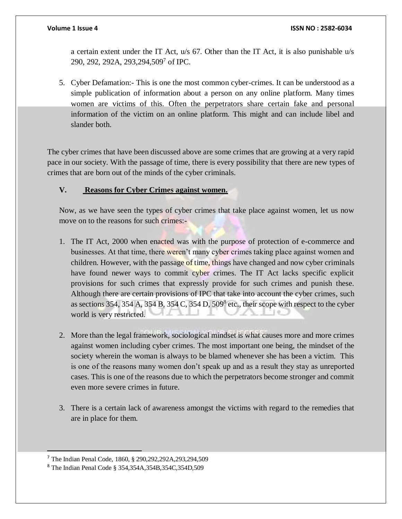a certain extent under the IT Act, u/s 67. Other than the IT Act, it is also punishable u/s 290, 292, 292A, 293,294,509<sup>7</sup> of IPC.

5. Cyber Defamation:- This is one the most common cyber-crimes. It can be understood as a simple publication of information about a person on any online platform. Many times women are victims of this. Often the perpetrators share certain fake and personal information of the victim on an online platform. This might and can include libel and slander both.

The cyber crimes that have been discussed above are some crimes that are growing at a very rapid pace in our society. With the passage of time, there is every possibility that there are new types of crimes that are born out of the minds of the cyber criminals.

### **V. Reasons for Cyber Crimes against women.**

Now, as we have seen the types of cyber crimes that take place against women, let us now move on to the reasons for such crimes:-

- 1. The IT Act, 2000 when enacted was with the purpose of protection of e-commerce and businesses. At that time, there weren't many cyber crimes taking place against women and children. However, with the passage of time, things have changed and now cyber criminals have found newer ways to commit cyber crimes. The IT Act lacks specific explicit provisions for such crimes that expressly provide for such crimes and punish these. Although there are certain provisions of IPC that take into account the cyber crimes, such as sections 354, 354 A, 354 B, 354 C, 354 D,  $509<sup>8</sup>$  etc., their scope with respect to the cyber world is very restricted.
- 2. More than the legal framework, sociological mindset is what causes more and more crimes against women including cyber crimes. The most important one being, the mindset of the society wherein the woman is always to be blamed whenever she has been a victim. This is one of the reasons many women don't speak up and as a result they stay as unreported cases. This is one of the reasons due to which the perpetrators become stronger and commit even more severe crimes in future.
- 3. There is a certain lack of awareness amongst the victims with regard to the remedies that are in place for them.

 $\overline{a}$ 

<sup>7</sup> The Indian Penal Code, 1860, § 290,292,292A,293,294,509

<sup>8</sup> The Indian Penal Code § 354,354A,354B,354C,354D,509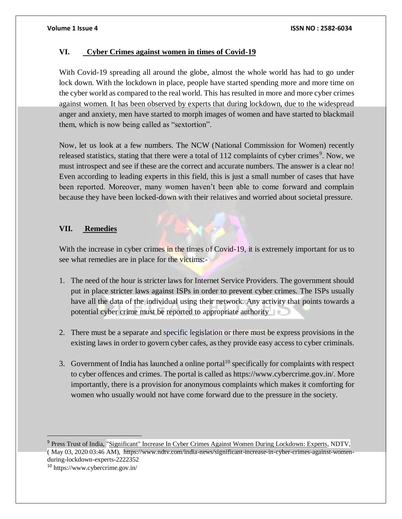### **VI. Cyber Crimes against women in times of Covid-19**

With Covid-19 spreading all around the globe, almost the whole world has had to go under lock down. With the lockdown in place, people have started spending more and more time on the cyber world as compared to the real world. This has resulted in more and more cyber crimes against women. It has been observed by experts that during lockdown, due to the widespread anger and anxiety, men have started to morph images of women and have started to blackmail them, which is now being called as "sextortion".

Now, let us look at a few numbers. The NCW (National Commission for Women) recently released statistics, stating that there were a total of 112 complaints of cyber crimes<sup>9</sup>. Now, we must introspect and see if these are the correct and accurate numbers. The answer is a clear no! Even according to leading experts in this field, this is just a small number of cases that have been reported. Moreover, many women haven't been able to come forward and complain because they have been locked-down with their relatives and worried about societal pressure.

### **VII. Remedies**

With the increase in cyber crimes in the times of Covid-19, it is extremely important for us to see what remedies are in place for the victims:-

- 1. The need of the hour is stricter laws for Internet Service Providers. The government should put in place stricter laws against ISPs in order to prevent cyber crimes. The ISPs usually have all the data of the individual using their network. Any activity that points towards a potential cyber crime must be reported to appropriate authority
- 2. There must be a separate and specific legislation or there must be express provisions in the existing laws in order to govern cyber cafes, as they provide easy access to cyber criminals.
- 3. Government of India has launched a online portal $10$  specifically for complaints with respect to cyber offences and crimes. The portal is called as https://www.cybercrime.gov.in/. More importantly, there is a provision for anonymous complaints which makes it comforting for women who usually would not have come forward due to the pressure in the society.

<sup>9</sup> Press Trust of India, "Significant" Increase In Cyber Crimes Against Women During Lockdown: Experts, NDTV, ( May 03, 2020 03:46 AM), [https://www.ndtv.com/india-news/significant-increase-in-cyber-crimes-against-women](https://www.ndtv.com/india-news/significant-increase-in-cyber-crimes-against-women-during-lockdown-experts-2222352)[during-lockdown-experts-2222352](https://www.ndtv.com/india-news/significant-increase-in-cyber-crimes-against-women-during-lockdown-experts-2222352)

<sup>10</sup> <https://www.cybercrime.gov.in/>